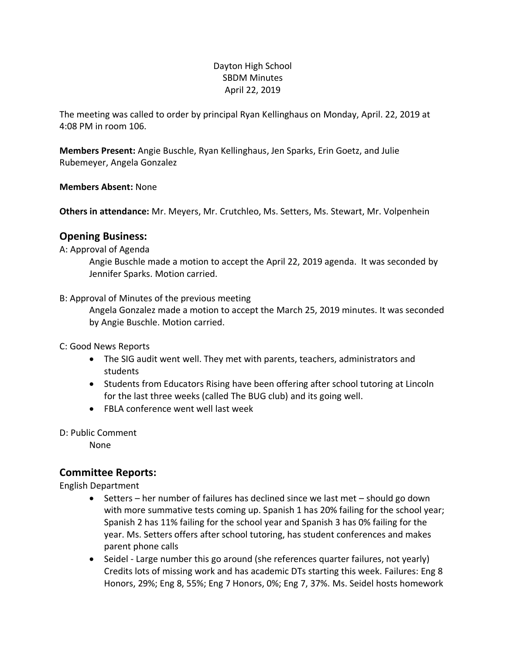#### Dayton High School SBDM Minutes April 22, 2019

The meeting was called to order by principal Ryan Kellinghaus on Monday, April. 22, 2019 at 4:08 PM in room 106.

**Members Present:** Angie Buschle, Ryan Kellinghaus, Jen Sparks, Erin Goetz, and Julie Rubemeyer, Angela Gonzalez

**Members Absent:** None

**Others in attendance:** Mr. Meyers, Mr. Crutchleo, Ms. Setters, Ms. Stewart, Mr. Volpenhein

#### **Opening Business:**

A: Approval of Agenda

Angie Buschle made a motion to accept the April 22, 2019 agenda. It was seconded by Jennifer Sparks. Motion carried.

B: Approval of Minutes of the previous meeting

Angela Gonzalez made a motion to accept the March 25, 2019 minutes. It was seconded by Angie Buschle. Motion carried.

C: Good News Reports

- The SIG audit went well. They met with parents, teachers, administrators and students
- Students from Educators Rising have been offering after school tutoring at Lincoln for the last three weeks (called The BUG club) and its going well.
- FBLA conference went well last week

D: Public Comment

None

## **Committee Reports:**

English Department

- Setters her number of failures has declined since we last met should go down with more summative tests coming up. Spanish 1 has 20% failing for the school year; Spanish 2 has 11% failing for the school year and Spanish 3 has 0% failing for the year. Ms. Setters offers after school tutoring, has student conferences and makes parent phone calls
- Seidel Large number this go around (she references quarter failures, not yearly) Credits lots of missing work and has academic DTs starting this week. Failures: Eng 8 Honors, 29%; Eng 8, 55%; Eng 7 Honors, 0%; Eng 7, 37%. Ms. Seidel hosts homework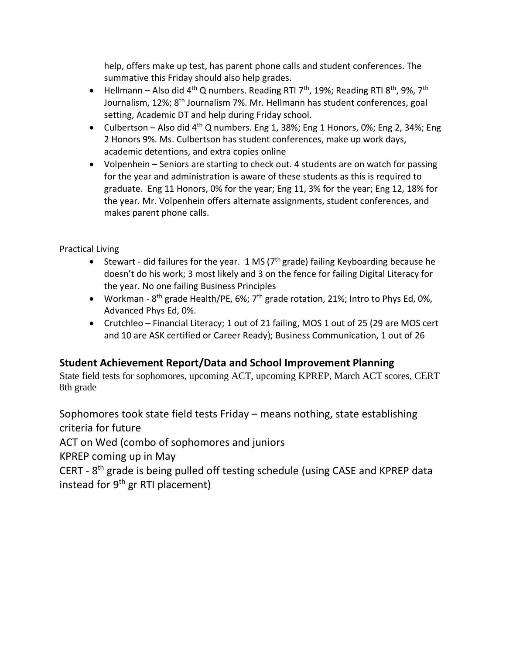help, offers make up test, has parent phone calls and student conferences. The summative this Friday should also help grades.

- Hellmann Also did 4<sup>th</sup> Q numbers. Reading RTI 7<sup>th</sup>, 19%; Reading RTI 8<sup>th</sup>, 9%, 7<sup>th</sup> Journalism, 12%; 8<sup>th</sup> Journalism 7%. Mr. Hellmann has student conferences, goal setting, Academic DT and help during Friday school.
- Culbertson Also did 4<sup>th</sup> Q numbers. Eng 1, 38%; Eng 1 Honors, 0%; Eng 2, 34%; Eng 2 Honors 9%. Ms. Culbertson has student conferences, make up work days, academic detentions, and extra copies online
- Volpenhein Seniors are starting to check out. 4 students are on watch for passing for the year and administration is aware of these students as this is required to graduate. Eng 11 Honors, 0% for the year; Eng 11, 3% for the year; Eng 12, 18% for the year. Mr. Volpenhein offers alternate assignments, student conferences, and makes parent phone calls.

## Practical Living

- Stewart did failures for the year.  $1 \text{ MS}$  (7<sup>th</sup> grade) failing Keyboarding because he doesn't do his work; 3 most likely and 3 on the fence for failing Digital Literacy for the year. No one failing Business Principles
- Workman  $8<sup>th</sup>$  grade Health/PE, 6%; 7<sup>th</sup> grade rotation, 21%; Intro to Phys Ed, 0%, Advanced Phys Ed, 0%.
- Crutchleo Financial Literacy; 1 out of 21 failing, MOS 1 out of 25 (29 are MOS cert and 10 are ASK certified or Career Ready); Business Communication, 1 out of 26

# **Student Achievement Report/Data and School Improvement Planning**

State field tests for sophomores, upcoming ACT, upcoming KPREP, March ACT scores, CERT 8th grade

Sophomores took state field tests Friday – means nothing, state establishing criteria for future

ACT on Wed (combo of sophomores and juniors

KPREP coming up in May

CERT - 8<sup>th</sup> grade is being pulled off testing schedule (using CASE and KPREP data instead for 9<sup>th</sup> gr RTI placement)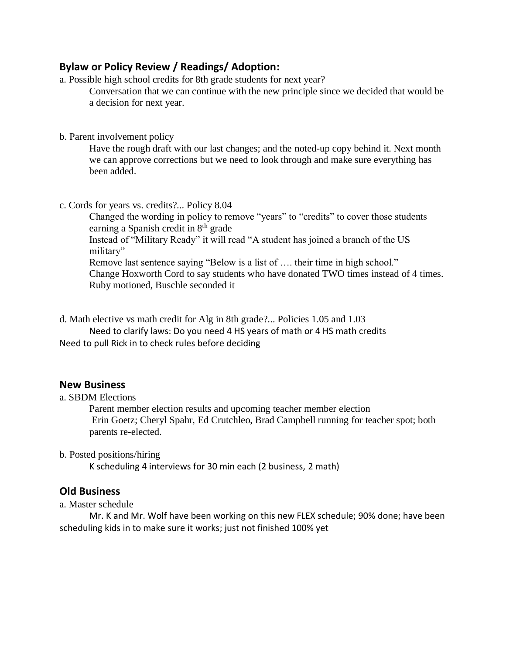## **Bylaw or Policy Review / Readings/ Adoption:**

- a. Possible high school credits for 8th grade students for next year? Conversation that we can continue with the new principle since we decided that would be a decision for next year.
- b. Parent involvement policy

Have the rough draft with our last changes; and the noted-up copy behind it. Next month we can approve corrections but we need to look through and make sure everything has been added.

c. Cords for years vs. credits?... Policy 8.04

Changed the wording in policy to remove "years" to "credits" to cover those students earning a Spanish credit in 8th grade Instead of "Military Ready" it will read "A student has joined a branch of the US military" Remove last sentence saying "Below is a list of …. their time in high school." Change Hoxworth Cord to say students who have donated TWO times instead of 4 times. Ruby motioned, Buschle seconded it

d. Math elective vs math credit for Alg in 8th grade?... Policies 1.05 and 1.03 Need to clarify laws: Do you need 4 HS years of math or 4 HS math credits Need to pull Rick in to check rules before deciding

#### **New Business**

a. SBDM Elections –

Parent member election results and upcoming teacher member election Erin Goetz; Cheryl Spahr, Ed Crutchleo, Brad Campbell running for teacher spot; both parents re-elected.

b. Posted positions/hiring

K scheduling 4 interviews for 30 min each (2 business, 2 math)

## **Old Business**

a. Master schedule

Mr. K and Mr. Wolf have been working on this new FLEX schedule; 90% done; have been scheduling kids in to make sure it works; just not finished 100% yet